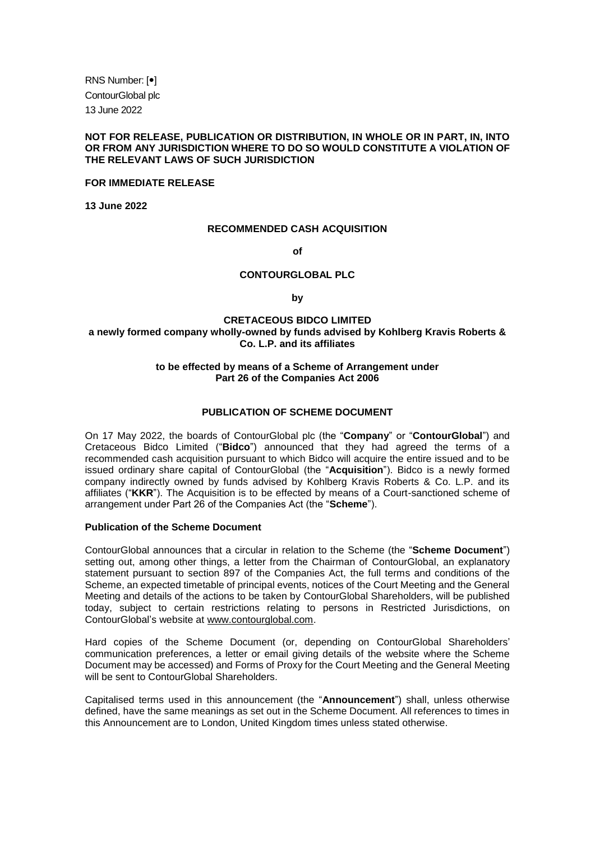RNS Number:  $[•]$ ContourGlobal plc 13 June 2022

## **NOT FOR RELEASE, PUBLICATION OR DISTRIBUTION, IN WHOLE OR IN PART, IN, INTO OR FROM ANY JURISDICTION WHERE TO DO SO WOULD CONSTITUTE A VIOLATION OF THE RELEVANT LAWS OF SUCH JURISDICTION**

### **FOR IMMEDIATE RELEASE**

**13 June 2022**

### **RECOMMENDED CASH ACQUISITION**

**of**

### **CONTOURGLOBAL PLC**

**by**

## **CRETACEOUS BIDCO LIMITED a newly formed company wholly-owned by funds advised by Kohlberg Kravis Roberts & Co. L.P. and its affiliates**

### **to be effected by means of a Scheme of Arrangement under Part 26 of the Companies Act 2006**

## **PUBLICATION OF SCHEME DOCUMENT**

On 17 May 2022, the boards of ContourGlobal plc (the "**Company**" or "**ContourGlobal**") and Cretaceous Bidco Limited ("**Bidco**") announced that they had agreed the terms of a recommended cash acquisition pursuant to which Bidco will acquire the entire issued and to be issued ordinary share capital of ContourGlobal (the "**Acquisition**"). Bidco is a newly formed company indirectly owned by funds advised by Kohlberg Kravis Roberts & Co. L.P. and its affiliates ("**KKR**"). The Acquisition is to be effected by means of a Court-sanctioned scheme of arrangement under Part 26 of the Companies Act (the "**Scheme**").

#### **Publication of the Scheme Document**

ContourGlobal announces that a circular in relation to the Scheme (the "**Scheme Document**") setting out, among other things, a letter from the Chairman of ContourGlobal, an explanatory statement pursuant to section 897 of the Companies Act, the full terms and conditions of the Scheme, an expected timetable of principal events, notices of the Court Meeting and the General Meeting and details of the actions to be taken by ContourGlobal Shareholders, will be published today, subject to certain restrictions relating to persons in Restricted Jurisdictions, on ContourGlobal's website at www.contourglobal.com.

Hard copies of the Scheme Document (or, depending on ContourGlobal Shareholders' communication preferences, a letter or email giving details of the website where the Scheme Document may be accessed) and Forms of Proxy for the Court Meeting and the General Meeting will be sent to ContourGlobal Shareholders.

Capitalised terms used in this announcement (the "**Announcement**") shall, unless otherwise defined, have the same meanings as set out in the Scheme Document. All references to times in this Announcement are to London, United Kingdom times unless stated otherwise.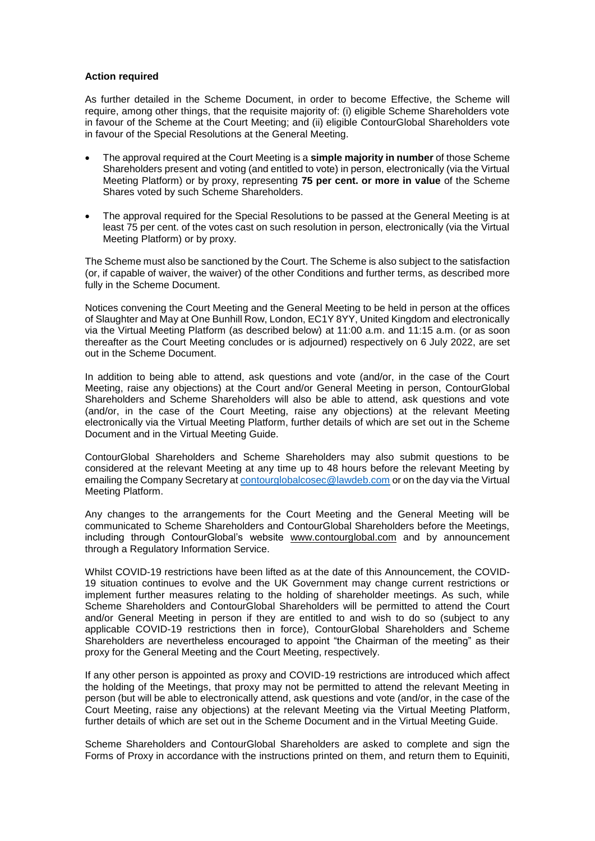### **Action required**

As further detailed in the Scheme Document, in order to become Effective, the Scheme will require, among other things, that the requisite majority of: (i) eligible Scheme Shareholders vote in favour of the Scheme at the Court Meeting; and (ii) eligible ContourGlobal Shareholders vote in favour of the Special Resolutions at the General Meeting.

- The approval required at the Court Meeting is a **simple majority in number** of those Scheme Shareholders present and voting (and entitled to vote) in person, electronically (via the Virtual Meeting Platform) or by proxy, representing **75 per cent. or more in value** of the Scheme Shares voted by such Scheme Shareholders.
- The approval required for the Special Resolutions to be passed at the General Meeting is at least 75 per cent. of the votes cast on such resolution in person, electronically (via the Virtual Meeting Platform) or by proxy.

The Scheme must also be sanctioned by the Court. The Scheme is also subject to the satisfaction (or, if capable of waiver, the waiver) of the other Conditions and further terms, as described more fully in the Scheme Document.

Notices convening the Court Meeting and the General Meeting to be held in person at the offices of Slaughter and May at One Bunhill Row, London, EC1Y 8YY, United Kingdom and electronically via the Virtual Meeting Platform (as described below) at 11:00 a.m. and 11:15 a.m. (or as soon thereafter as the Court Meeting concludes or is adjourned) respectively on 6 July 2022, are set out in the Scheme Document.

In addition to being able to attend, ask questions and vote (and/or, in the case of the Court Meeting, raise any objections) at the Court and/or General Meeting in person, ContourGlobal Shareholders and Scheme Shareholders will also be able to attend, ask questions and vote (and/or, in the case of the Court Meeting, raise any objections) at the relevant Meeting electronically via the Virtual Meeting Platform, further details of which are set out in the Scheme Document and in the Virtual Meeting Guide.

ContourGlobal Shareholders and Scheme Shareholders may also submit questions to be considered at the relevant Meeting at any time up to 48 hours before the relevant Meeting by emailing the Company Secretary a[t contourglobalcosec@lawdeb.com](mailto:contourglobalcosec@lawdeb.com) or on the day via the Virtual Meeting Platform.

Any changes to the arrangements for the Court Meeting and the General Meeting will be communicated to Scheme Shareholders and ContourGlobal Shareholders before the Meetings, including through ContourGlobal's website www.contourglobal.com and by announcement through a Regulatory Information Service.

Whilst COVID-19 restrictions have been lifted as at the date of this Announcement, the COVID-19 situation continues to evolve and the UK Government may change current restrictions or implement further measures relating to the holding of shareholder meetings. As such, while Scheme Shareholders and ContourGlobal Shareholders will be permitted to attend the Court and/or General Meeting in person if they are entitled to and wish to do so (subject to any applicable COVID-19 restrictions then in force), ContourGlobal Shareholders and Scheme Shareholders are nevertheless encouraged to appoint "the Chairman of the meeting" as their proxy for the General Meeting and the Court Meeting, respectively.

If any other person is appointed as proxy and COVID-19 restrictions are introduced which affect the holding of the Meetings, that proxy may not be permitted to attend the relevant Meeting in person (but will be able to electronically attend, ask questions and vote (and/or, in the case of the Court Meeting, raise any objections) at the relevant Meeting via the Virtual Meeting Platform, further details of which are set out in the Scheme Document and in the Virtual Meeting Guide.

Scheme Shareholders and ContourGlobal Shareholders are asked to complete and sign the Forms of Proxy in accordance with the instructions printed on them, and return them to Equiniti,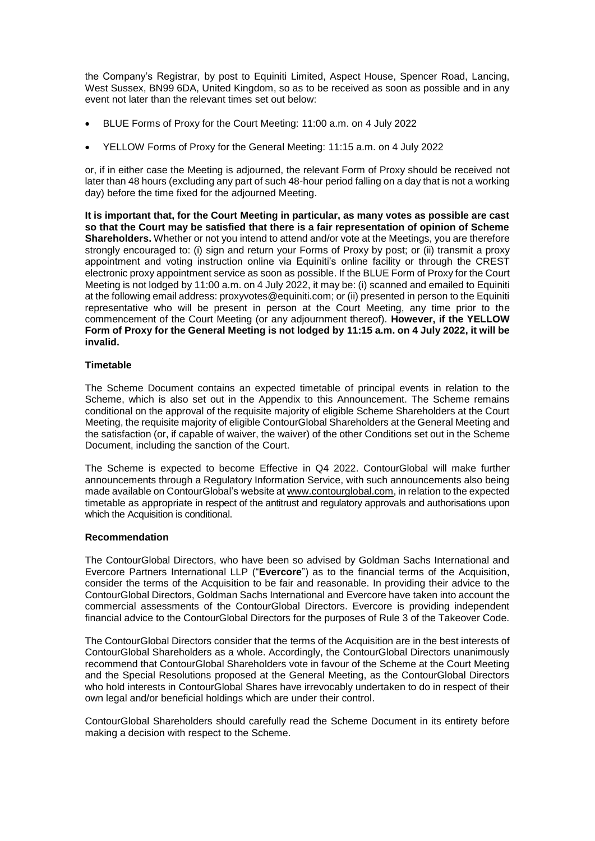the Company's Registrar, by post to Equiniti Limited, Aspect House, Spencer Road, Lancing, West Sussex, BN99 6DA, United Kingdom, so as to be received as soon as possible and in any event not later than the relevant times set out below:

- BLUE Forms of Proxy for the Court Meeting: 11:00 a.m. on 4 July 2022
- YELLOW Forms of Proxy for the General Meeting: 11:15 a.m. on 4 July 2022

or, if in either case the Meeting is adjourned, the relevant Form of Proxy should be received not later than 48 hours (excluding any part of such 48-hour period falling on a day that is not a working day) before the time fixed for the adjourned Meeting.

**It is important that, for the Court Meeting in particular, as many votes as possible are cast so that the Court may be satisfied that there is a fair representation of opinion of Scheme Shareholders.** Whether or not you intend to attend and/or vote at the Meetings, you are therefore strongly encouraged to: (i) sign and return your Forms of Proxy by post; or (ii) transmit a proxy appointment and voting instruction online via Equiniti's online facility or through the CREST electronic proxy appointment service as soon as possible. If the BLUE Form of Proxy for the Court Meeting is not lodged by 11:00 a.m. on 4 July 2022, it may be: (i) scanned and emailed to Equiniti at the following email address: proxyvotes@equiniti.com; or (ii) presented in person to the Equiniti representative who will be present in person at the Court Meeting, any time prior to the commencement of the Court Meeting (or any adjournment thereof). **However, if the YELLOW Form of Proxy for the General Meeting is not lodged by 11:15 a.m. on 4 July 2022, it will be invalid.**

### **Timetable**

The Scheme Document contains an expected timetable of principal events in relation to the Scheme, which is also set out in the Appendix to this Announcement. The Scheme remains conditional on the approval of the requisite majority of eligible Scheme Shareholders at the Court Meeting, the requisite majority of eligible ContourGlobal Shareholders at the General Meeting and the satisfaction (or, if capable of waiver, the waiver) of the other Conditions set out in the Scheme Document, including the sanction of the Court.

The Scheme is expected to become Effective in Q4 2022. ContourGlobal will make further announcements through a Regulatory Information Service, with such announcements also being made available on ContourGlobal's website at www.contourglobal.com, in relation to the expected timetable as appropriate in respect of the antitrust and regulatory approvals and authorisations upon which the Acquisition is conditional.

### **Recommendation**

The ContourGlobal Directors, who have been so advised by Goldman Sachs International and Evercore Partners International LLP ("**Evercore**") as to the financial terms of the Acquisition, consider the terms of the Acquisition to be fair and reasonable. In providing their advice to the ContourGlobal Directors, Goldman Sachs International and Evercore have taken into account the commercial assessments of the ContourGlobal Directors. Evercore is providing independent financial advice to the ContourGlobal Directors for the purposes of Rule 3 of the Takeover Code.

The ContourGlobal Directors consider that the terms of the Acquisition are in the best interests of ContourGlobal Shareholders as a whole. Accordingly, the ContourGlobal Directors unanimously recommend that ContourGlobal Shareholders vote in favour of the Scheme at the Court Meeting and the Special Resolutions proposed at the General Meeting, as the ContourGlobal Directors who hold interests in ContourGlobal Shares have irrevocably undertaken to do in respect of their own legal and/or beneficial holdings which are under their control.

ContourGlobal Shareholders should carefully read the Scheme Document in its entirety before making a decision with respect to the Scheme.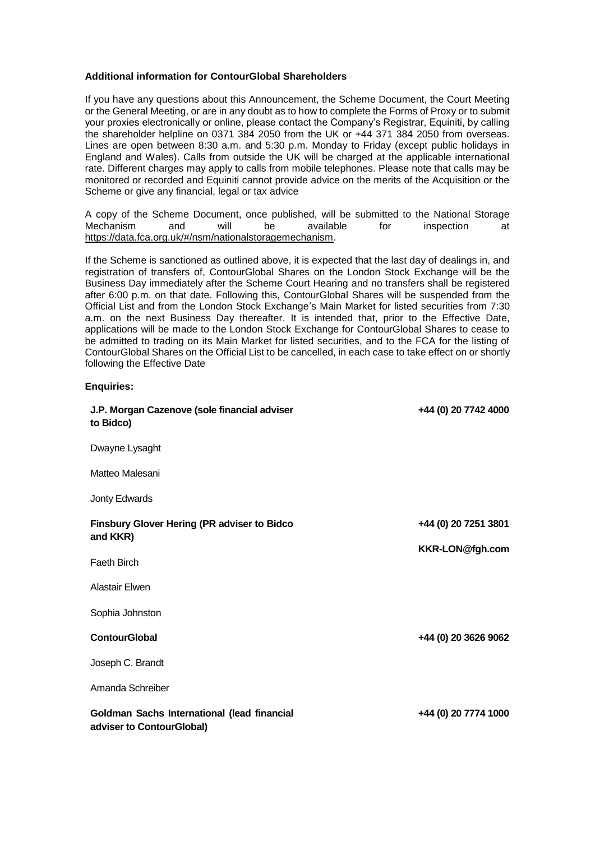### **Additional information for ContourGlobal Shareholders**

**Enquiries:**

If you have any questions about this Announcement, the Scheme Document, the Court Meeting or the General Meeting, or are in any doubt as to how to complete the Forms of Proxy or to submit your proxies electronically or online, please contact the Company's Registrar, Equiniti, by calling the shareholder helpline on 0371 384 2050 from the UK or +44 371 384 2050 from overseas. Lines are open between 8:30 a.m. and 5:30 p.m. Monday to Friday (except public holidays in England and Wales). Calls from outside the UK will be charged at the applicable international rate. Different charges may apply to calls from mobile telephones. Please note that calls may be monitored or recorded and Equiniti cannot provide advice on the merits of the Acquisition or the Scheme or give any financial, legal or tax advice

A copy of the Scheme Document, once published, will be submitted to the National Storage<br>Mechanism and will be available for inspection at Mechanism and will be available for inspection at https://data.fca.org.uk/#/nsm/nationalstoragemechanism.

If the Scheme is sanctioned as outlined above, it is expected that the last day of dealings in, and registration of transfers of, ContourGlobal Shares on the London Stock Exchange will be the Business Day immediately after the Scheme Court Hearing and no transfers shall be registered after 6:00 p.m. on that date. Following this, ContourGlobal Shares will be suspended from the Official List and from the London Stock Exchange's Main Market for listed securities from 7:30 a.m. on the next Business Day thereafter. It is intended that, prior to the Effective Date, applications will be made to the London Stock Exchange for ContourGlobal Shares to cease to be admitted to trading on its Main Market for listed securities, and to the FCA for the listing of ContourGlobal Shares on the Official List to be cancelled, in each case to take effect on or shortly following the Effective Date

| J.P. Morgan Cazenove (sole financial adviser<br>to Bidco)                | +44 (0) 20 7742 4000 |
|--------------------------------------------------------------------------|----------------------|
| Dwayne Lysaght                                                           |                      |
| Matteo Malesani                                                          |                      |
| Jonty Edwards                                                            |                      |
| <b>Finsbury Glover Hering (PR adviser to Bidco</b>                       | +44 (0) 20 7251 3801 |
| and KKR)                                                                 | KKR-LON@fgh.com      |
| <b>Faeth Birch</b>                                                       |                      |
| Alastair Elwen                                                           |                      |
| Sophia Johnston                                                          |                      |
| <b>ContourGlobal</b>                                                     | +44 (0) 20 3626 9062 |
| Joseph C. Brandt                                                         |                      |
| Amanda Schreiber                                                         |                      |
| Goldman Sachs International (lead financial<br>adviser to ContourGlobal) | +44 (0) 20 7774 1000 |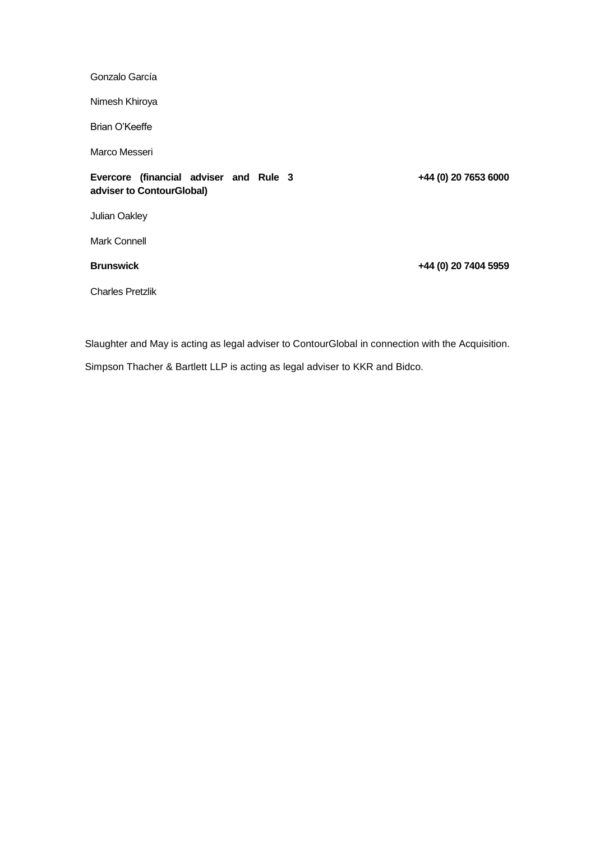Gonzalo García

Nimesh Khiroya

Brian O'Keeffe

Marco Messeri

# **Evercore (financial adviser and Rule 3 adviser to ContourGlobal)**

Julian Oakley

Mark Connell

**Brunswick**

**+44 (0) 20 7404 5959**

**+44 (0) 20 7653 6000**

Charles Pretzlik

Slaughter and May is acting as legal adviser to ContourGlobal in connection with the Acquisition.

Simpson Thacher & Bartlett LLP is acting as legal adviser to KKR and Bidco.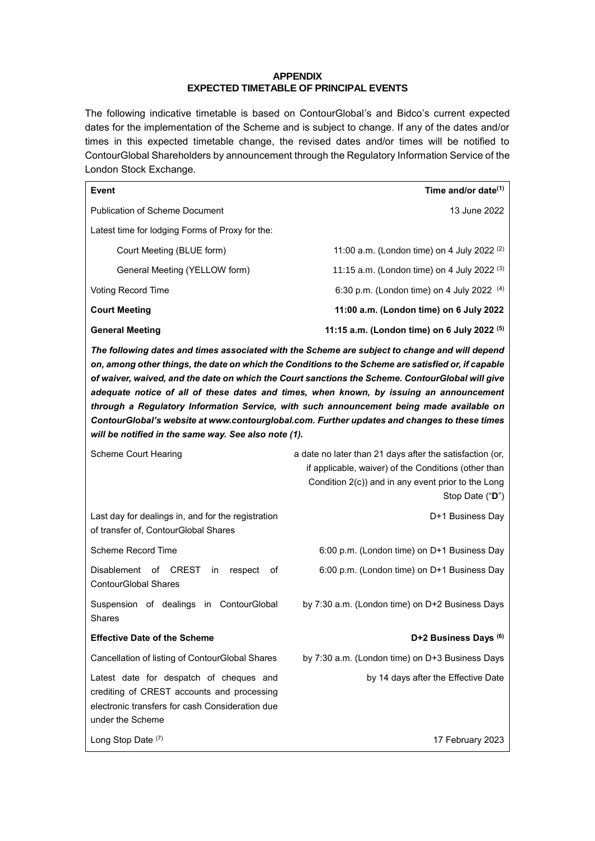# **APPENDIX EXPECTED TIMETABLE OF PRINCIPAL EVENTS**

The following indicative timetable is based on ContourGlobal's and Bidco's current expected dates for the implementation of the Scheme and is subject to change. If any of the dates and/or times in this expected timetable change, the revised dates and/or times will be notified to ContourGlobal Shareholders by announcement through the Regulatory Information Service of the London Stock Exchange.

| <b>Event</b>                                                                                                                                                                                                                                                                                                                                                                                                                                                                                                                                                                                                                                             | Time and/or date <sup>(1)</sup>                                                                                                                                                           |  |
|----------------------------------------------------------------------------------------------------------------------------------------------------------------------------------------------------------------------------------------------------------------------------------------------------------------------------------------------------------------------------------------------------------------------------------------------------------------------------------------------------------------------------------------------------------------------------------------------------------------------------------------------------------|-------------------------------------------------------------------------------------------------------------------------------------------------------------------------------------------|--|
| <b>Publication of Scheme Document</b>                                                                                                                                                                                                                                                                                                                                                                                                                                                                                                                                                                                                                    | 13 June 2022                                                                                                                                                                              |  |
| Latest time for lodging Forms of Proxy for the:                                                                                                                                                                                                                                                                                                                                                                                                                                                                                                                                                                                                          |                                                                                                                                                                                           |  |
| Court Meeting (BLUE form)                                                                                                                                                                                                                                                                                                                                                                                                                                                                                                                                                                                                                                | 11:00 a.m. (London time) on 4 July 2022 $(2)$                                                                                                                                             |  |
| General Meeting (YELLOW form)                                                                                                                                                                                                                                                                                                                                                                                                                                                                                                                                                                                                                            | 11:15 a.m. (London time) on 4 July 2022 (3)                                                                                                                                               |  |
| <b>Voting Record Time</b>                                                                                                                                                                                                                                                                                                                                                                                                                                                                                                                                                                                                                                | 6:30 p.m. (London time) on 4 July 2022 $(4)$                                                                                                                                              |  |
| <b>Court Meeting</b>                                                                                                                                                                                                                                                                                                                                                                                                                                                                                                                                                                                                                                     | 11:00 a.m. (London time) on 6 July 2022                                                                                                                                                   |  |
| <b>General Meeting</b>                                                                                                                                                                                                                                                                                                                                                                                                                                                                                                                                                                                                                                   | 11:15 a.m. (London time) on 6 July 2022 (5)                                                                                                                                               |  |
| The following dates and times associated with the Scheme are subject to change and will depend<br>on, among other things, the date on which the Conditions to the Scheme are satisfied or, if capable<br>of waiver, waived, and the date on which the Court sanctions the Scheme. ContourGlobal will give<br>adequate notice of all of these dates and times, when known, by issuing an announcement<br>through a Regulatory Information Service, with such announcement being made available on<br>ContourGlobal's website at www.contourglobal.com. Further updates and changes to these times<br>will be notified in the same way. See also note (1). |                                                                                                                                                                                           |  |
| Scheme Court Hearing                                                                                                                                                                                                                                                                                                                                                                                                                                                                                                                                                                                                                                     | a date no later than 21 days after the satisfaction (or,<br>if applicable, waiver) of the Conditions (other than<br>Condition 2(c)) and in any event prior to the Long<br>Stop Date ("D") |  |
| Last day for dealings in, and for the registration<br>of transfer of, ContourGlobal Shares                                                                                                                                                                                                                                                                                                                                                                                                                                                                                                                                                               | D+1 Business Day                                                                                                                                                                          |  |
| Scheme Record Time                                                                                                                                                                                                                                                                                                                                                                                                                                                                                                                                                                                                                                       | 6:00 p.m. (London time) on D+1 Business Day                                                                                                                                               |  |
| Disablement of CREST<br>respect<br>of<br>in<br><b>ContourGlobal Shares</b>                                                                                                                                                                                                                                                                                                                                                                                                                                                                                                                                                                               | 6:00 p.m. (London time) on D+1 Business Day                                                                                                                                               |  |
| Suspension of dealings in ContourGlobal<br><b>Shares</b>                                                                                                                                                                                                                                                                                                                                                                                                                                                                                                                                                                                                 | by 7:30 a.m. (London time) on D+2 Business Days                                                                                                                                           |  |
| <b>Effective Date of the Scheme</b>                                                                                                                                                                                                                                                                                                                                                                                                                                                                                                                                                                                                                      | D+2 Business Days (6)                                                                                                                                                                     |  |
| Cancellation of listing of ContourGlobal Shares                                                                                                                                                                                                                                                                                                                                                                                                                                                                                                                                                                                                          | by 7:30 a.m. (London time) on D+3 Business Days                                                                                                                                           |  |
| Latest date for despatch of cheques and<br>crediting of CREST accounts and processing<br>electronic transfers for cash Consideration due<br>under the Scheme                                                                                                                                                                                                                                                                                                                                                                                                                                                                                             | by 14 days after the Effective Date                                                                                                                                                       |  |
| Long Stop Date (7)                                                                                                                                                                                                                                                                                                                                                                                                                                                                                                                                                                                                                                       | 17 February 2023                                                                                                                                                                          |  |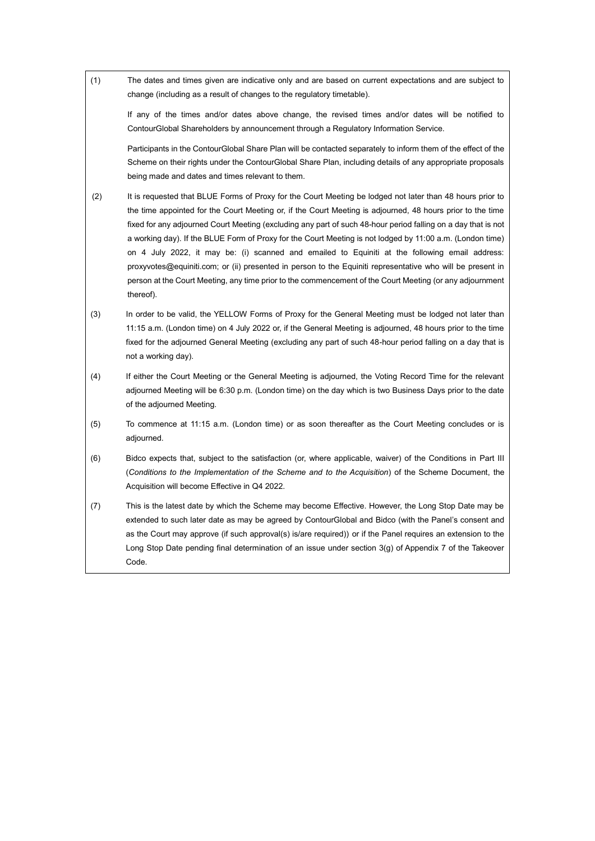| (1) | The dates and times given are indicative only and are based on current expectations and are subject to<br>change (including as a result of changes to the regulatory timetable).                                                                                                                                                                                                                                                                                                                                                                                                                                                                                                                                                                                                               |
|-----|------------------------------------------------------------------------------------------------------------------------------------------------------------------------------------------------------------------------------------------------------------------------------------------------------------------------------------------------------------------------------------------------------------------------------------------------------------------------------------------------------------------------------------------------------------------------------------------------------------------------------------------------------------------------------------------------------------------------------------------------------------------------------------------------|
|     | If any of the times and/or dates above change, the revised times and/or dates will be notified to<br>ContourGlobal Shareholders by announcement through a Regulatory Information Service.                                                                                                                                                                                                                                                                                                                                                                                                                                                                                                                                                                                                      |
|     | Participants in the ContourGlobal Share Plan will be contacted separately to inform them of the effect of the<br>Scheme on their rights under the ContourGlobal Share Plan, including details of any appropriate proposals<br>being made and dates and times relevant to them.                                                                                                                                                                                                                                                                                                                                                                                                                                                                                                                 |
| (2) | It is requested that BLUE Forms of Proxy for the Court Meeting be lodged not later than 48 hours prior to<br>the time appointed for the Court Meeting or, if the Court Meeting is adjourned, 48 hours prior to the time<br>fixed for any adjourned Court Meeting (excluding any part of such 48-hour period falling on a day that is not<br>a working day). If the BLUE Form of Proxy for the Court Meeting is not lodged by 11:00 a.m. (London time)<br>on 4 July 2022, it may be: (i) scanned and emailed to Equiniti at the following email address:<br>proxyvotes@equiniti.com; or (ii) presented in person to the Equiniti representative who will be present in<br>person at the Court Meeting, any time prior to the commencement of the Court Meeting (or any adjournment<br>thereof). |
| (3) | In order to be valid, the YELLOW Forms of Proxy for the General Meeting must be lodged not later than<br>11:15 a.m. (London time) on 4 July 2022 or, if the General Meeting is adjourned, 48 hours prior to the time<br>fixed for the adjourned General Meeting (excluding any part of such 48-hour period falling on a day that is<br>not a working day).                                                                                                                                                                                                                                                                                                                                                                                                                                     |
| (4) | If either the Court Meeting or the General Meeting is adjourned, the Voting Record Time for the relevant<br>adjourned Meeting will be 6:30 p.m. (London time) on the day which is two Business Days prior to the date<br>of the adjourned Meeting.                                                                                                                                                                                                                                                                                                                                                                                                                                                                                                                                             |
| (5) | To commence at 11:15 a.m. (London time) or as soon thereafter as the Court Meeting concludes or is<br>adjourned.                                                                                                                                                                                                                                                                                                                                                                                                                                                                                                                                                                                                                                                                               |
| (6) | Bidco expects that, subject to the satisfaction (or, where applicable, waiver) of the Conditions in Part III<br>(Conditions to the Implementation of the Scheme and to the Acquisition) of the Scheme Document, the<br>Acquisition will become Effective in Q4 2022.                                                                                                                                                                                                                                                                                                                                                                                                                                                                                                                           |
| (7) | This is the latest date by which the Scheme may become Effective. However, the Long Stop Date may be<br>extended to such later date as may be agreed by ContourGlobal and Bidco (with the Panel's consent and<br>as the Court may approve (if such approval(s) is/are required)) or if the Panel requires an extension to the<br>Long Stop Date pending final determination of an issue under section 3(g) of Appendix 7 of the Takeover<br>Code.                                                                                                                                                                                                                                                                                                                                              |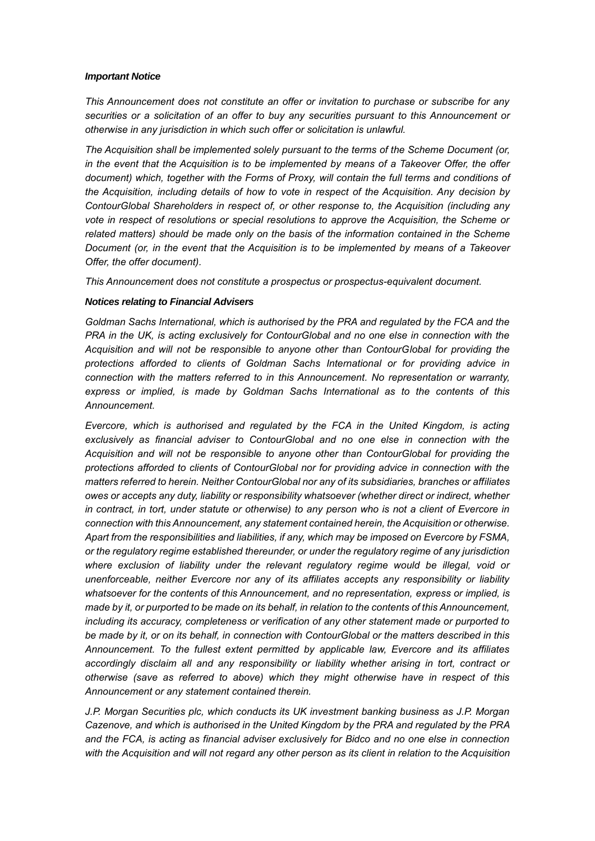### *Important Notice*

*This Announcement does not constitute an offer or invitation to purchase or subscribe for any securities or a solicitation of an offer to buy any securities pursuant to this Announcement or otherwise in any jurisdiction in which such offer or solicitation is unlawful.*

*The Acquisition shall be implemented solely pursuant to the terms of the Scheme Document (or, in the event that the Acquisition is to be implemented by means of a Takeover Offer, the offer document) which, together with the Forms of Proxy, will contain the full terms and conditions of the Acquisition, including details of how to vote in respect of the Acquisition. Any decision by ContourGlobal Shareholders in respect of, or other response to, the Acquisition (including any vote in respect of resolutions or special resolutions to approve the Acquisition, the Scheme or related matters) should be made only on the basis of the information contained in the Scheme Document (or, in the event that the Acquisition is to be implemented by means of a Takeover Offer, the offer document).*

*This Announcement does not constitute a prospectus or prospectus-equivalent document.*

# *Notices relating to Financial Advisers*

*Goldman Sachs International, which is authorised by the PRA and regulated by the FCA and the PRA in the UK, is acting exclusively for ContourGlobal and no one else in connection with the Acquisition and will not be responsible to anyone other than ContourGlobal for providing the protections afforded to clients of Goldman Sachs International or for providing advice in connection with the matters referred to in this Announcement. No representation or warranty, express or implied, is made by Goldman Sachs International as to the contents of this Announcement.*

*Evercore, which is authorised and regulated by the FCA in the United Kingdom, is acting exclusively as financial adviser to ContourGlobal and no one else in connection with the Acquisition and will not be responsible to anyone other than ContourGlobal for providing the protections afforded to clients of ContourGlobal nor for providing advice in connection with the matters referred to herein. Neither ContourGlobal nor any of its subsidiaries, branches or affiliates owes or accepts any duty, liability or responsibility whatsoever (whether direct or indirect, whether in contract, in tort, under statute or otherwise) to any person who is not a client of Evercore in connection with this Announcement, any statement contained herein, the Acquisition or otherwise. Apart from the responsibilities and liabilities, if any, which may be imposed on Evercore by FSMA, or the regulatory regime established thereunder, or under the regulatory regime of any jurisdiction where exclusion of liability under the relevant regulatory regime would be illegal, void or unenforceable, neither Evercore nor any of its affiliates accepts any responsibility or liability whatsoever for the contents of this Announcement, and no representation, express or implied, is made by it, or purported to be made on its behalf, in relation to the contents of this Announcement, including its accuracy, completeness or verification of any other statement made or purported to be made by it, or on its behalf, in connection with ContourGlobal or the matters described in this Announcement. To the fullest extent permitted by applicable law, Evercore and its affiliates accordingly disclaim all and any responsibility or liability whether arising in tort, contract or otherwise (save as referred to above) which they might otherwise have in respect of this Announcement or any statement contained therein.*

*J.P. Morgan Securities plc, which conducts its UK investment banking business as J.P. Morgan Cazenove, and which is authorised in the United Kingdom by the PRA and regulated by the PRA and the FCA, is acting as financial adviser exclusively for Bidco and no one else in connection*  with the Acquisition and will not regard any other person as its client in relation to the Acquisition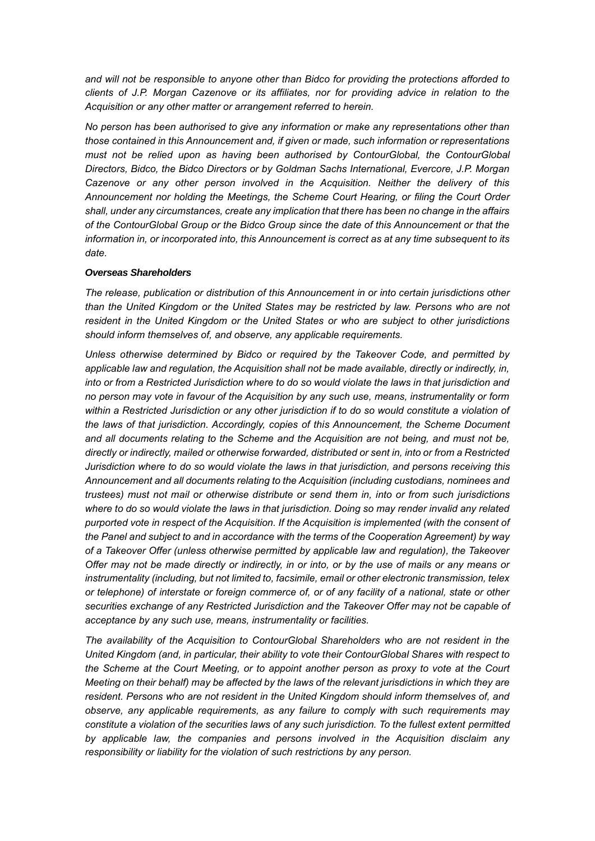*and will not be responsible to anyone other than Bidco for providing the protections afforded to clients of J.P. Morgan Cazenove or its affiliates, nor for providing advice in relation to the Acquisition or any other matter or arrangement referred to herein.*

*No person has been authorised to give any information or make any representations other than those contained in this Announcement and, if given or made, such information or representations must not be relied upon as having been authorised by ContourGlobal, the ContourGlobal Directors, Bidco, the Bidco Directors or by Goldman Sachs International, Evercore, J.P. Morgan Cazenove or any other person involved in the Acquisition. Neither the delivery of this Announcement nor holding the Meetings, the Scheme Court Hearing, or filing the Court Order shall, under any circumstances, create any implication that there has been no change in the affairs of the ContourGlobal Group or the Bidco Group since the date of this Announcement or that the information in, or incorporated into, this Announcement is correct as at any time subsequent to its date.*

### *Overseas Shareholders*

*The release, publication or distribution of this Announcement in or into certain jurisdictions other than the United Kingdom or the United States may be restricted by law. Persons who are not resident in the United Kingdom or the United States or who are subject to other jurisdictions should inform themselves of, and observe, any applicable requirements.*

*Unless otherwise determined by Bidco or required by the Takeover Code, and permitted by applicable law and regulation, the Acquisition shall not be made available, directly or indirectly, in, into or from a Restricted Jurisdiction where to do so would violate the laws in that jurisdiction and no person may vote in favour of the Acquisition by any such use, means, instrumentality or form*  within a Restricted Jurisdiction or any other jurisdiction if to do so would constitute a violation of *the laws of that jurisdiction. Accordingly, copies of this Announcement, the Scheme Document and all documents relating to the Scheme and the Acquisition are not being, and must not be, directly or indirectly, mailed or otherwise forwarded, distributed or sent in, into or from a Restricted Jurisdiction where to do so would violate the laws in that jurisdiction, and persons receiving this Announcement and all documents relating to the Acquisition (including custodians, nominees and trustees) must not mail or otherwise distribute or send them in, into or from such jurisdictions*  where to do so would violate the laws in that jurisdiction. Doing so may render invalid any related *purported vote in respect of the Acquisition. If the Acquisition is implemented (with the consent of the Panel and subject to and in accordance with the terms of the Cooperation Agreement) by way of a Takeover Offer (unless otherwise permitted by applicable law and regulation), the Takeover Offer may not be made directly or indirectly, in or into, or by the use of mails or any means or instrumentality (including, but not limited to, facsimile, email or other electronic transmission, telex or telephone) of interstate or foreign commerce of, or of any facility of a national, state or other securities exchange of any Restricted Jurisdiction and the Takeover Offer may not be capable of acceptance by any such use, means, instrumentality or facilities.*

*The availability of the Acquisition to ContourGlobal Shareholders who are not resident in the United Kingdom (and, in particular, their ability to vote their ContourGlobal Shares with respect to the Scheme at the Court Meeting, or to appoint another person as proxy to vote at the Court Meeting on their behalf) may be affected by the laws of the relevant jurisdictions in which they are resident. Persons who are not resident in the United Kingdom should inform themselves of, and observe, any applicable requirements, as any failure to comply with such requirements may constitute a violation of the securities laws of any such jurisdiction. To the fullest extent permitted by applicable law, the companies and persons involved in the Acquisition disclaim any responsibility or liability for the violation of such restrictions by any person.*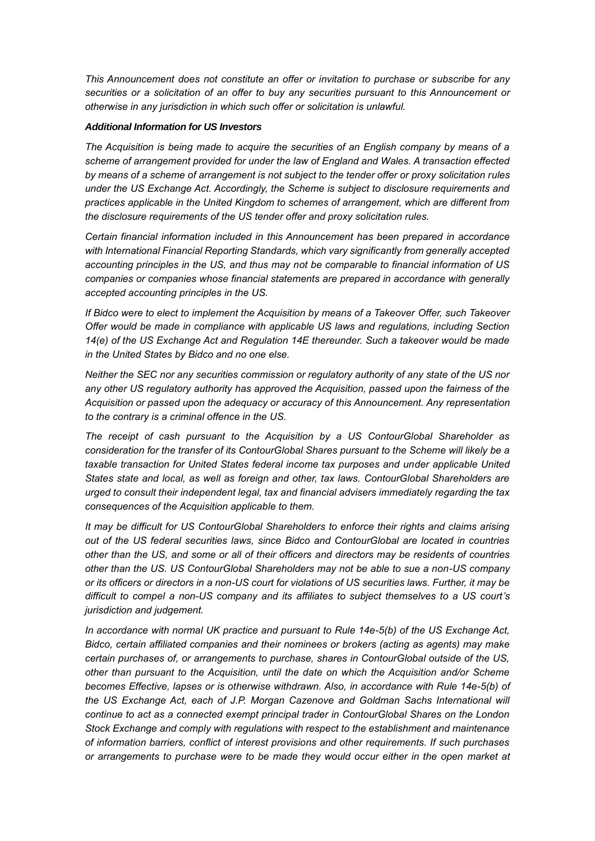*This Announcement does not constitute an offer or invitation to purchase or subscribe for any securities or a solicitation of an offer to buy any securities pursuant to this Announcement or otherwise in any jurisdiction in which such offer or solicitation is unlawful.*

## *Additional Information for US Investors*

*The Acquisition is being made to acquire the securities of an English company by means of a scheme of arrangement provided for under the law of England and Wales. A transaction effected by means of a scheme of arrangement is not subject to the tender offer or proxy solicitation rules under the US Exchange Act. Accordingly, the Scheme is subject to disclosure requirements and practices applicable in the United Kingdom to schemes of arrangement, which are different from the disclosure requirements of the US tender offer and proxy solicitation rules.*

*Certain financial information included in this Announcement has been prepared in accordance with International Financial Reporting Standards, which vary significantly from generally accepted accounting principles in the US, and thus may not be comparable to financial information of US companies or companies whose financial statements are prepared in accordance with generally accepted accounting principles in the US.*

*If Bidco were to elect to implement the Acquisition by means of a Takeover Offer, such Takeover Offer would be made in compliance with applicable US laws and regulations, including Section 14(e) of the US Exchange Act and Regulation 14E thereunder. Such a takeover would be made in the United States by Bidco and no one else.*

*Neither the SEC nor any securities commission or regulatory authority of any state of the US nor any other US regulatory authority has approved the Acquisition, passed upon the fairness of the Acquisition or passed upon the adequacy or accuracy of this Announcement. Any representation to the contrary is a criminal offence in the US.* 

*The receipt of cash pursuant to the Acquisition by a US ContourGlobal Shareholder as consideration for the transfer of its ContourGlobal Shares pursuant to the Scheme will likely be a taxable transaction for United States federal income tax purposes and under applicable United States state and local, as well as foreign and other, tax laws. ContourGlobal Shareholders are urged to consult their independent legal, tax and financial advisers immediately regarding the tax consequences of the Acquisition applicable to them.* 

*It may be difficult for US ContourGlobal Shareholders to enforce their rights and claims arising out of the US federal securities laws, since Bidco and ContourGlobal are located in countries other than the US, and some or all of their officers and directors may be residents of countries other than the US. US ContourGlobal Shareholders may not be able to sue a non-US company or its officers or directors in a non-US court for violations of US securities laws. Further, it may be difficult to compel a non-US company and its affiliates to subject themselves to a US court's jurisdiction and judgement.*

*In accordance with normal UK practice and pursuant to Rule 14e-5(b) of the US Exchange Act, Bidco, certain affiliated companies and their nominees or brokers (acting as agents) may make certain purchases of, or arrangements to purchase, shares in ContourGlobal outside of the US, other than pursuant to the Acquisition, until the date on which the Acquisition and/or Scheme becomes Effective, lapses or is otherwise withdrawn. Also, in accordance with Rule 14e-5(b) of the US Exchange Act, each of J.P. Morgan Cazenove and Goldman Sachs International will continue to act as a connected exempt principal trader in ContourGlobal Shares on the London Stock Exchange and comply with regulations with respect to the establishment and maintenance of information barriers, conflict of interest provisions and other requirements. If such purchases or arrangements to purchase were to be made they would occur either in the open market at*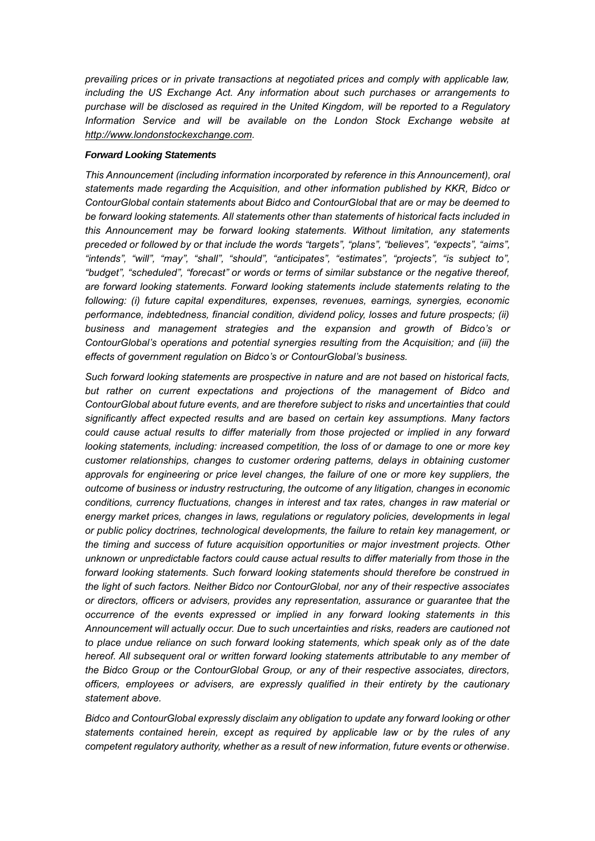*prevailing prices or in private transactions at negotiated prices and comply with applicable law, including the US Exchange Act. Any information about such purchases or arrangements to purchase will be disclosed as required in the United Kingdom, will be reported to a Regulatory Information Service and will be available on the London Stock Exchange website at http://www.londonstockexchange.com.*

# *Forward Looking Statements*

*This Announcement (including information incorporated by reference in this Announcement), oral statements made regarding the Acquisition, and other information published by KKR, Bidco or ContourGlobal contain statements about Bidco and ContourGlobal that are or may be deemed to be forward looking statements. All statements other than statements of historical facts included in this Announcement may be forward looking statements. Without limitation, any statements preceded or followed by or that include the words "targets", "plans", "believes", "expects", "aims", "intends", "will", "may", "shall", "should", "anticipates", "estimates", "projects", "is subject to", "budget", "scheduled", "forecast" or words or terms of similar substance or the negative thereof, are forward looking statements. Forward looking statements include statements relating to the following: (i) future capital expenditures, expenses, revenues, earnings, synergies, economic performance, indebtedness, financial condition, dividend policy, losses and future prospects; (ii) business and management strategies and the expansion and growth of Bidco's or ContourGlobal's operations and potential synergies resulting from the Acquisition; and (iii) the effects of government regulation on Bidco's or ContourGlobal's business.*

*Such forward looking statements are prospective in nature and are not based on historical facts, but rather on current expectations and projections of the management of Bidco and ContourGlobal about future events, and are therefore subject to risks and uncertainties that could significantly affect expected results and are based on certain key assumptions. Many factors could cause actual results to differ materially from those projected or implied in any forward looking statements, including: increased competition, the loss of or damage to one or more key customer relationships, changes to customer ordering patterns, delays in obtaining customer approvals for engineering or price level changes, the failure of one or more key suppliers, the outcome of business or industry restructuring, the outcome of any litigation, changes in economic conditions, currency fluctuations, changes in interest and tax rates, changes in raw material or energy market prices, changes in laws, regulations or regulatory policies, developments in legal or public policy doctrines, technological developments, the failure to retain key management, or the timing and success of future acquisition opportunities or major investment projects. Other unknown or unpredictable factors could cause actual results to differ materially from those in the*  forward looking statements. Such forward looking statements should therefore be construed in *the light of such factors. Neither Bidco nor ContourGlobal, nor any of their respective associates or directors, officers or advisers, provides any representation, assurance or guarantee that the occurrence of the events expressed or implied in any forward looking statements in this Announcement will actually occur. Due to such uncertainties and risks, readers are cautioned not*  to place undue reliance on such forward looking statements, which speak only as of the date *hereof. All subsequent oral or written forward looking statements attributable to any member of the Bidco Group or the ContourGlobal Group, or any of their respective associates, directors, officers, employees or advisers, are expressly qualified in their entirety by the cautionary statement above.*

*Bidco and ContourGlobal expressly disclaim any obligation to update any forward looking or other statements contained herein, except as required by applicable law or by the rules of any competent regulatory authority, whether as a result of new information, future events or otherwise.*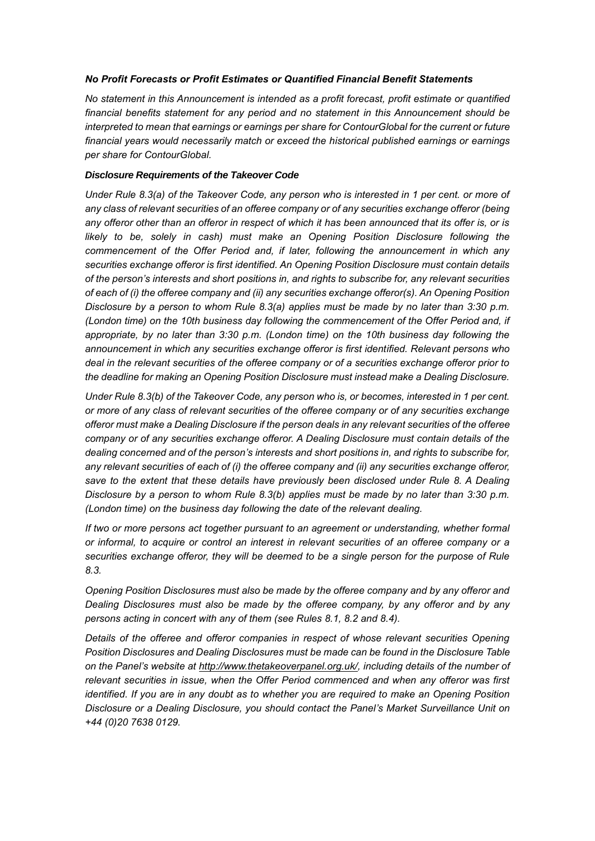# *No Profit Forecasts or Profit Estimates or Quantified Financial Benefit Statements*

*No statement in this Announcement is intended as a profit forecast, profit estimate or quantified financial benefits statement for any period and no statement in this Announcement should be interpreted to mean that earnings or earnings per share for ContourGlobal for the current or future financial years would necessarily match or exceed the historical published earnings or earnings per share for ContourGlobal.*

# *Disclosure Requirements of the Takeover Code*

*Under Rule 8.3(a) of the Takeover Code, any person who is interested in 1 per cent. or more of any class of relevant securities of an offeree company or of any securities exchange offeror (being any offeror other than an offeror in respect of which it has been announced that its offer is, or is*  likely to be, solely in cash) must make an Opening Position Disclosure following the *commencement of the Offer Period and, if later, following the announcement in which any securities exchange offeror is first identified. An Opening Position Disclosure must contain details of the person's interests and short positions in, and rights to subscribe for, any relevant securities of each of (i) the offeree company and (ii) any securities exchange offeror(s). An Opening Position Disclosure by a person to whom Rule 8.3(a) applies must be made by no later than 3:30 p.m. (London time) on the 10th business day following the commencement of the Offer Period and, if appropriate, by no later than 3:30 p.m. (London time) on the 10th business day following the announcement in which any securities exchange offeror is first identified. Relevant persons who deal in the relevant securities of the offeree company or of a securities exchange offeror prior to the deadline for making an Opening Position Disclosure must instead make a Dealing Disclosure.*

*Under Rule 8.3(b) of the Takeover Code, any person who is, or becomes, interested in 1 per cent. or more of any class of relevant securities of the offeree company or of any securities exchange offeror must make a Dealing Disclosure if the person deals in any relevant securities of the offeree company or of any securities exchange offeror. A Dealing Disclosure must contain details of the dealing concerned and of the person's interests and short positions in, and rights to subscribe for, any relevant securities of each of (i) the offeree company and (ii) any securities exchange offeror,*  save to the extent that these details have previously been disclosed under Rule 8. A Dealing *Disclosure by a person to whom Rule 8.3(b) applies must be made by no later than 3:30 p.m. (London time) on the business day following the date of the relevant dealing.*

*If two or more persons act together pursuant to an agreement or understanding, whether formal or informal, to acquire or control an interest in relevant securities of an offeree company or a securities exchange offeror, they will be deemed to be a single person for the purpose of Rule 8.3.*

*Opening Position Disclosures must also be made by the offeree company and by any offeror and Dealing Disclosures must also be made by the offeree company, by any offeror and by any persons acting in concert with any of them (see Rules 8.1, 8.2 and 8.4).*

*Details of the offeree and offeror companies in respect of whose relevant securities Opening Position Disclosures and Dealing Disclosures must be made can be found in the Disclosure Table on the Panel's website at http://www.thetakeoverpanel.org.uk/, including details of the number of relevant securities in issue, when the Offer Period commenced and when any offeror was first identified. If you are in any doubt as to whether you are required to make an Opening Position Disclosure or a Dealing Disclosure, you should contact the Panel's Market Surveillance Unit on +44 (0)20 7638 0129.*